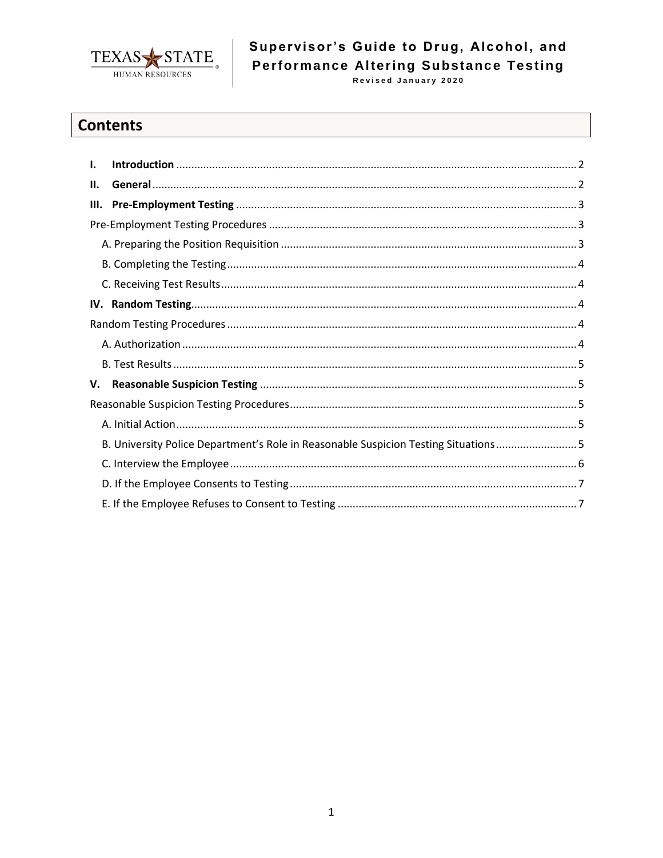

# Supervisor's Guide to Drug, Alcohol, and Performance Altering Substance Testing

# **Contents**

| I. |                                                                                    |  |  |
|----|------------------------------------------------------------------------------------|--|--|
| Н. |                                                                                    |  |  |
| Ш. |                                                                                    |  |  |
|    |                                                                                    |  |  |
|    |                                                                                    |  |  |
|    |                                                                                    |  |  |
|    |                                                                                    |  |  |
|    |                                                                                    |  |  |
|    |                                                                                    |  |  |
|    |                                                                                    |  |  |
|    |                                                                                    |  |  |
| v. |                                                                                    |  |  |
|    |                                                                                    |  |  |
|    |                                                                                    |  |  |
|    | B. University Police Department's Role in Reasonable Suspicion Testing Situations5 |  |  |
|    |                                                                                    |  |  |
|    |                                                                                    |  |  |
|    |                                                                                    |  |  |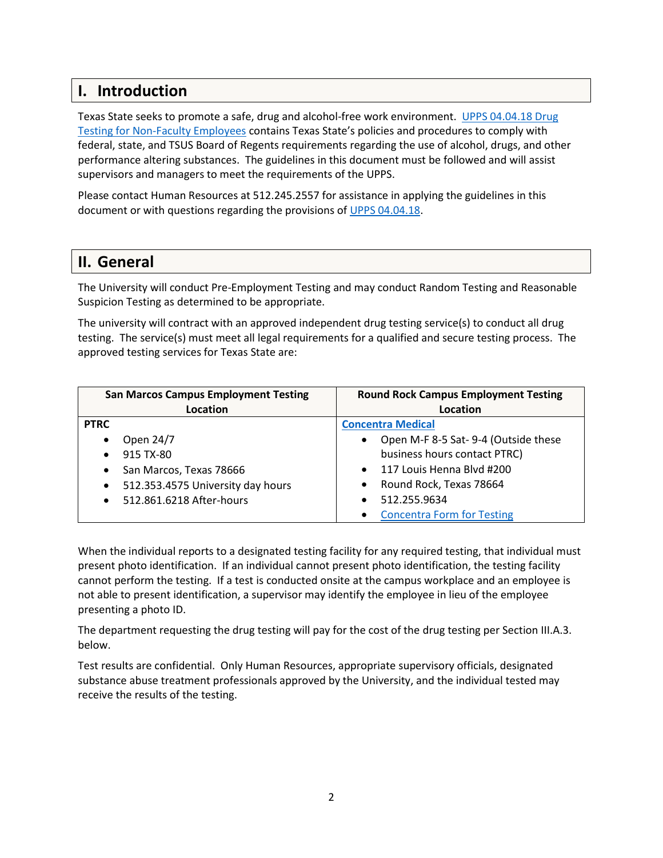# <span id="page-1-0"></span>**I. Introduction**

Texas State seeks to promote a safe, drug and alcohol-free work environment. [UPPS 04.04.18 Drug](http://policies.txstate.edu/university-policies/04-04-18.html)  [Testing for Non-Faculty Employees](http://policies.txstate.edu/university-policies/04-04-18.html) contains Texas State's policies and procedures to comply with federal, state, and TSUS Board of Regents requirements regarding the use of alcohol, drugs, and other performance altering substances. The guidelines in this document must be followed and will assist supervisors and managers to meet the requirements of the UPPS.

Please contact Human Resources at 512.245.2557 for assistance in applying the guidelines in this document or with questions regarding the provisions of [UPPS 04.04.18.](http://policies.txstate.edu/university-policies/04-04-18.html)

# <span id="page-1-1"></span>**II. General**

The University will conduct Pre-Employment Testing and may conduct Random Testing and Reasonable Suspicion Testing as determined to be appropriate.

The university will contract with an approved independent drug testing service(s) to conduct all drug testing. The service(s) must meet all legal requirements for a qualified and secure testing process. The approved testing services for Texas State are:

| <b>San Marcos Campus Employment Testing</b>    | <b>Round Rock Campus Employment Testing</b>      |  |
|------------------------------------------------|--------------------------------------------------|--|
| Location                                       | Location                                         |  |
| <b>PTRC</b>                                    | <b>Concentra Medical</b>                         |  |
| Open 24/7<br>$\bullet$                         | Open M-F 8-5 Sat-9-4 (Outside these<br>$\bullet$ |  |
| 915 TX-80<br>$\bullet$                         | business hours contact PTRC)                     |  |
| San Marcos, Texas 78666<br>$\bullet$           | 117 Louis Henna Blyd #200<br>$\bullet$           |  |
| 512.353.4575 University day hours<br>$\bullet$ | Round Rock, Texas 78664<br>$\bullet$             |  |
| 512.861.6218 After-hours<br>$\bullet$          | 512.255.9634                                     |  |
|                                                | <b>Concentra Form for Testing</b>                |  |

When the individual reports to a designated testing facility for any required testing, that individual must present photo identification. If an individual cannot present photo identification, the testing facility cannot perform the testing. If a test is conducted onsite at the campus workplace and an employee is not able to present identification, a supervisor may identify the employee in lieu of the employee presenting a photo ID.

The department requesting the drug testing will pay for the cost of the drug testing per Section III.A.3. below.

Test results are confidential. Only Human Resources, appropriate supervisory officials, designated substance abuse treatment professionals approved by the University, and the individual tested may receive the results of the testing.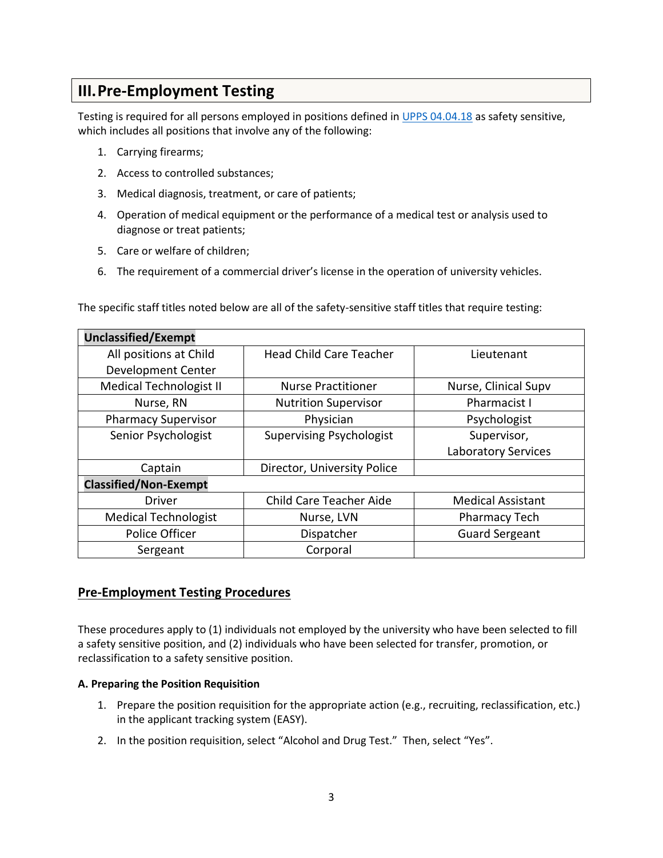# <span id="page-2-0"></span>**III.Pre-Employment Testing**

Testing is required for all persons employed in positions defined i[n UPPS 04.04.18](http://policies.txstate.edu/university-policies/04-04-18.html) as safety sensitive, which includes all positions that involve any of the following:

- 1. Carrying firearms;
- 2. Access to controlled substances;
- 3. Medical diagnosis, treatment, or care of patients;
- 4. Operation of medical equipment or the performance of a medical test or analysis used to diagnose or treat patients;
- 5. Care or welfare of children;
- 6. The requirement of a commercial driver's license in the operation of university vehicles.

The specific staff titles noted below are all of the safety-sensitive staff titles that require testing:

| <b>Unclassified/Exempt</b>     |                                 |                            |  |  |
|--------------------------------|---------------------------------|----------------------------|--|--|
| All positions at Child         | <b>Head Child Care Teacher</b>  | Lieutenant                 |  |  |
| Development Center             |                                 |                            |  |  |
| <b>Medical Technologist II</b> | <b>Nurse Practitioner</b>       | Nurse, Clinical Supv       |  |  |
| Nurse, RN                      | <b>Nutrition Supervisor</b>     | Pharmacist I               |  |  |
| <b>Pharmacy Supervisor</b>     | Physician                       | Psychologist               |  |  |
| Senior Psychologist            | <b>Supervising Psychologist</b> | Supervisor,                |  |  |
|                                |                                 | <b>Laboratory Services</b> |  |  |
| Captain                        | Director, University Police     |                            |  |  |
| <b>Classified/Non-Exempt</b>   |                                 |                            |  |  |
| <b>Driver</b>                  | Child Care Teacher Aide         | <b>Medical Assistant</b>   |  |  |
| <b>Medical Technologist</b>    | Nurse, LVN                      | <b>Pharmacy Tech</b>       |  |  |
| Police Officer                 | Dispatcher                      | <b>Guard Sergeant</b>      |  |  |
| Sergeant                       | Corporal                        |                            |  |  |

# <span id="page-2-1"></span>**Pre-Employment Testing Procedures**

These procedures apply to (1) individuals not employed by the university who have been selected to fill a safety sensitive position, and (2) individuals who have been selected for transfer, promotion, or reclassification to a safety sensitive position.

## <span id="page-2-2"></span>**A. Preparing the Position Requisition**

- 1. Prepare the position requisition for the appropriate action (e.g., recruiting, reclassification, etc.) in the applicant tracking system (EASY).
- 2. In the position requisition, select "Alcohol and Drug Test." Then, select "Yes".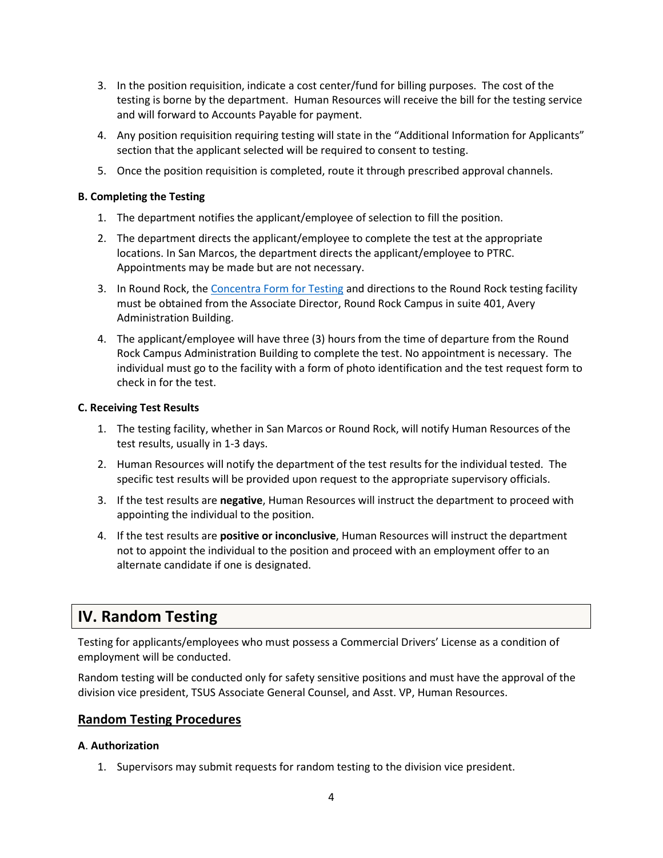- 3. In the position requisition, indicate a cost center/fund for billing purposes. The cost of the testing is borne by the department. Human Resources will receive the bill for the testing service and will forward to Accounts Payable for payment.
- 4. Any position requisition requiring testing will state in the "Additional Information for Applicants" section that the applicant selected will be required to consent to testing.
- 5. Once the position requisition is completed, route it through prescribed approval channels.

## <span id="page-3-0"></span>**B. Completing the Testing**

- 1. The department notifies the applicant/employee of selection to fill the position.
- 2. The department directs the applicant/employee to complete the test at the appropriate locations. In San Marcos, the department directs the applicant/employee to PTRC. Appointments may be made but are not necessary.
- 3. In Round Rock, the Concentra [Form for Testing](https://gato-docs.its.txstate.edu/jcr:e3e44edb-91e0-407c-a794-dce0678903ed/Concentra%20Employee%20Authorization_12.2017.docx) and directions to the Round Rock testing facility must be obtained from the Associate Director, Round Rock Campus in suite 401, Avery Administration Building.
- 4. The applicant/employee will have three (3) hours from the time of departure from the Round Rock Campus Administration Building to complete the test. No appointment is necessary. The individual must go to the facility with a form of photo identification and the test request form to check in for the test.

## <span id="page-3-1"></span>**C. Receiving Test Results**

- 1. The testing facility, whether in San Marcos or Round Rock, will notify Human Resources of the test results, usually in 1-3 days.
- 2. Human Resources will notify the department of the test results for the individual tested. The specific test results will be provided upon request to the appropriate supervisory officials.
- 3. If the test results are **negative**, Human Resources will instruct the department to proceed with appointing the individual to the position.
- 4. If the test results are **positive or inconclusive**, Human Resources will instruct the department not to appoint the individual to the position and proceed with an employment offer to an alternate candidate if one is designated.

# **IV. Random Testing**

Testing for applicants/employees who must possess a Commercial Drivers' License as a condition of employment will be conducted.

Random testing will be conducted only for safety sensitive positions and must have the approval of the division vice president, TSUS Associate General Counsel, and Asst. VP, Human Resources.

# <span id="page-3-2"></span>**Random Testing Procedures**

## <span id="page-3-3"></span>**A**. **Authorization**

1. Supervisors may submit requests for random testing to the division vice president.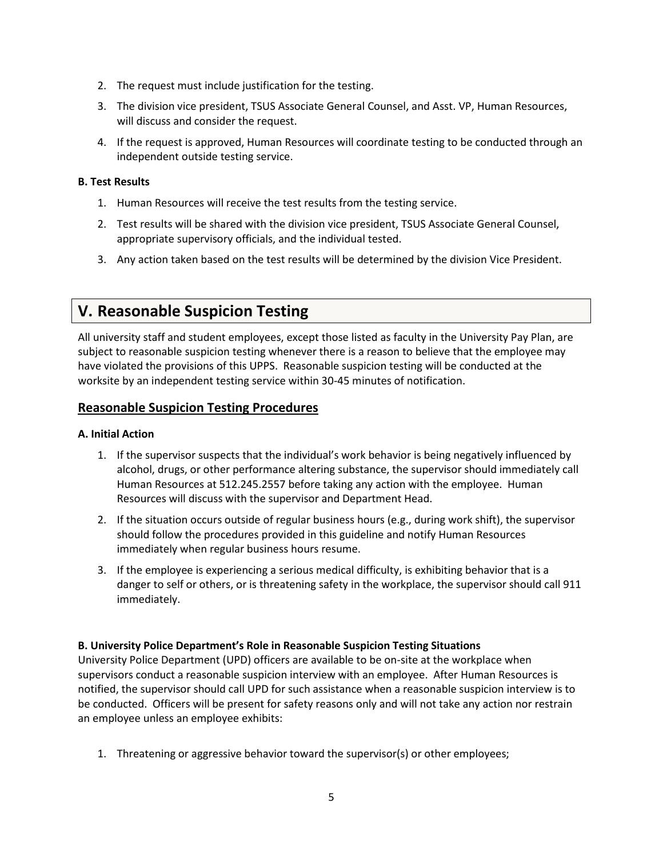- 2. The request must include justification for the testing.
- 3. The division vice president, TSUS Associate General Counsel, and Asst. VP, Human Resources, will discuss and consider the request.
- 4. If the request is approved, Human Resources will coordinate testing to be conducted through an independent outside testing service.

## <span id="page-4-0"></span>**B. Test Results**

- 1. Human Resources will receive the test results from the testing service.
- 2. Test results will be shared with the division vice president, TSUS Associate General Counsel, appropriate supervisory officials, and the individual tested.
- 3. Any action taken based on the test results will be determined by the division Vice President.

# <span id="page-4-1"></span>**V. Reasonable Suspicion Testing**

All university staff and student employees, except those listed as faculty in the University Pay Plan, are subject to reasonable suspicion testing whenever there is a reason to believe that the employee may have violated the provisions of this UPPS. Reasonable suspicion testing will be conducted at the worksite by an independent testing service within 30-45 minutes of notification.

# <span id="page-4-2"></span>**Reasonable Suspicion Testing Procedures**

## <span id="page-4-3"></span>**A. Initial Action**

- 1. If the supervisor suspects that the individual's work behavior is being negatively influenced by alcohol, drugs, or other performance altering substance, the supervisor should immediately call Human Resources at 512.245.2557 before taking any action with the employee. Human Resources will discuss with the supervisor and Department Head.
- 2. If the situation occurs outside of regular business hours (e.g., during work shift), the supervisor should follow the procedures provided in this guideline and notify Human Resources immediately when regular business hours resume.
- 3. If the employee is experiencing a serious medical difficulty, is exhibiting behavior that is a danger to self or others, or is threatening safety in the workplace, the supervisor should call 911 immediately.

## <span id="page-4-4"></span>**B. University Police Department's Role in Reasonable Suspicion Testing Situations**

University Police Department (UPD) officers are available to be on-site at the workplace when supervisors conduct a reasonable suspicion interview with an employee. After Human Resources is notified, the supervisor should call UPD for such assistance when a reasonable suspicion interview is to be conducted. Officers will be present for safety reasons only and will not take any action nor restrain an employee unless an employee exhibits:

1. Threatening or aggressive behavior toward the supervisor(s) or other employees;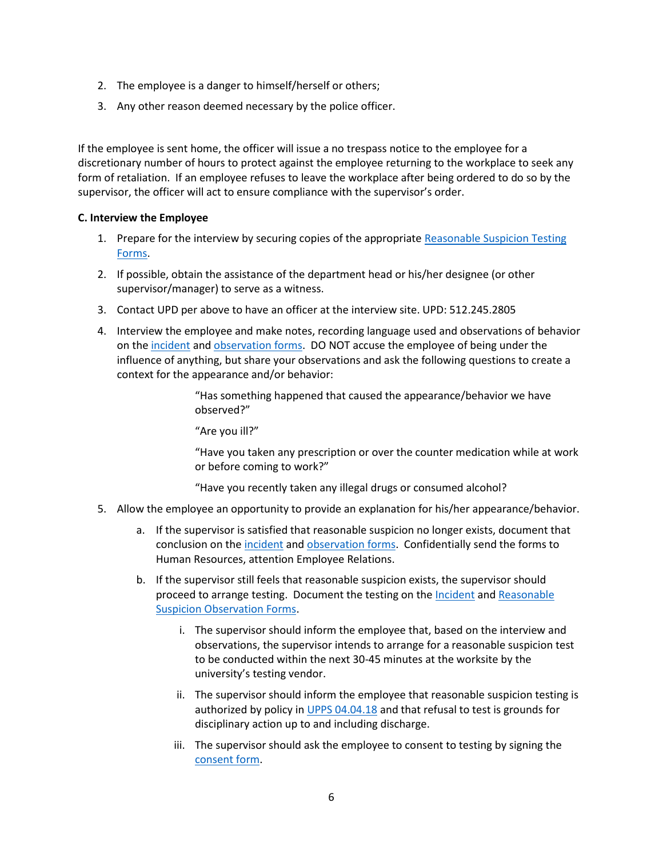- 2. The employee is a danger to himself/herself or others;
- 3. Any other reason deemed necessary by the police officer.

If the employee is sent home, the officer will issue a no trespass notice to the employee for a discretionary number of hours to protect against the employee returning to the workplace to seek any form of retaliation. If an employee refuses to leave the workplace after being ordered to do so by the supervisor, the officer will act to ensure compliance with the supervisor's order.

## <span id="page-5-0"></span>**C. Interview the Employee**

- 1. Prepare for the interview by securing copies of the appropriate [Reasonable Suspicion Testing](http://www.hr.txstate.edu/employee-relations/forms.html)  [Forms.](http://www.hr.txstate.edu/employee-relations/forms.html)
- 2. If possible, obtain the assistance of the department head or his/her designee (or other supervisor/manager) to serve as a witness.
- 3. Contact UPD per above to have an officer at the interview site. UPD: 512.245.2805
- 4. Interview the employee and make notes, recording language used and observations of behavior on th[e incident](http://gato-docs.its.txstate.edu/jcr:ab808900-58c1-4648-b89e-c1dd672be891/Incident%20Report_06.2017.docx) an[d observation forms.](http://gato-docs.its.txstate.edu/jcr:18c5efeb-6327-49dd-b82d-d89c2dad932d/Reasonable%20Suspicion%20Observation%20Form_06.2017.docx) DO NOT accuse the employee of being under the influence of anything, but share your observations and ask the following questions to create a context for the appearance and/or behavior:

"Has something happened that caused the appearance/behavior we have observed?"

"Are you ill?"

"Have you taken any prescription or over the counter medication while at work or before coming to work?"

"Have you recently taken any illegal drugs or consumed alcohol?

- 5. Allow the employee an opportunity to provide an explanation for his/her appearance/behavior.
	- a. If the supervisor is satisfied that reasonable suspicion no longer exists, document that conclusion on th[e incident](http://gato-docs.its.txstate.edu/jcr:ab808900-58c1-4648-b89e-c1dd672be891/Incident%20Report_06.2017.docx) an[d observation forms.](http://gato-docs.its.txstate.edu/jcr:18c5efeb-6327-49dd-b82d-d89c2dad932d/Reasonable%20Suspicion%20Observation%20Form_06.2017.docx) Confidentially send the forms to Human Resources, attention Employee Relations.
	- b. If the supervisor still feels that reasonable suspicion exists, the supervisor should proceed to arrange testing. Document the testing on the [Incident](http://gato-docs.its.txstate.edu/jcr:ab808900-58c1-4648-b89e-c1dd672be891/Incident%20Report_06.2017.docx) and Reasonable [Suspicion Observation Forms.](http://gato-docs.its.txstate.edu/jcr:18c5efeb-6327-49dd-b82d-d89c2dad932d/Reasonable%20Suspicion%20Observation%20Form_06.2017.docx)
		- i. The supervisor should inform the employee that, based on the interview and observations, the supervisor intends to arrange for a reasonable suspicion test to be conducted within the next 30-45 minutes at the worksite by the university's testing vendor.
		- ii. The supervisor should inform the employee that reasonable suspicion testing is authorized by policy i[n UPPS 04.04.18](http://policies.txstate.edu/university-policies/04-04-18.html) and that refusal to test is grounds for disciplinary action up to and including discharge.
		- iii. The supervisor should ask the employee to consent to testing by signing the [consent form.](http://gato-docs.its.txstate.edu/jcr:a0c7de45-7ced-4299-923e-0bf385368143/Consent%20to%20reasonable%20suspicion%20testing_06.2017.docx)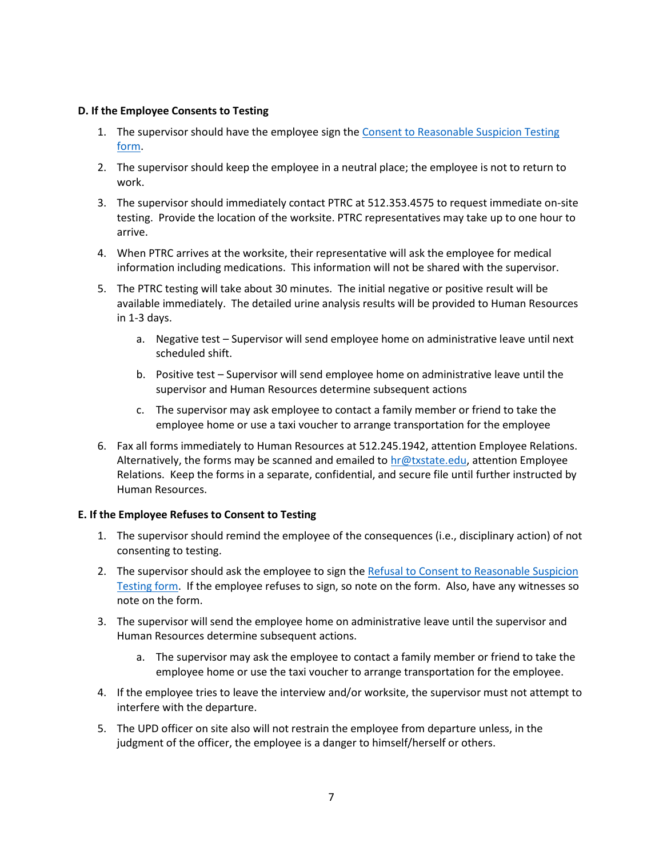## <span id="page-6-0"></span>**D. If the Employee Consents to Testing**

- 1. The supervisor should have the employee sign th[e Consent to Reasonable Suspicion Testing](http://gato-docs.its.txstate.edu/jcr:a0c7de45-7ced-4299-923e-0bf385368143/Consent%20to%20reasonable%20suspicion%20testing_06.2017.docx)  [form.](http://gato-docs.its.txstate.edu/jcr:a0c7de45-7ced-4299-923e-0bf385368143/Consent%20to%20reasonable%20suspicion%20testing_06.2017.docx)
- 2. The supervisor should keep the employee in a neutral place; the employee is not to return to work.
- 3. The supervisor should immediately contact PTRC at 512.353.4575 to request immediate on-site testing. Provide the location of the worksite. PTRC representatives may take up to one hour to arrive.
- 4. When PTRC arrives at the worksite, their representative will ask the employee for medical information including medications. This information will not be shared with the supervisor.
- 5. The PTRC testing will take about 30 minutes. The initial negative or positive result will be available immediately. The detailed urine analysis results will be provided to Human Resources in 1-3 days.
	- a. Negative test Supervisor will send employee home on administrative leave until next scheduled shift.
	- b. Positive test Supervisor will send employee home on administrative leave until the supervisor and Human Resources determine subsequent actions
	- c. The supervisor may ask employee to contact a family member or friend to take the employee home or use a taxi voucher to arrange transportation for the employee
- 6. Fax all forms immediately to Human Resources at 512.245.1942, attention Employee Relations. Alternatively, the forms may be scanned and emailed t[o hr@txstate.edu,](mailto:hr@txstate.edu) attention Employee Relations. Keep the forms in a separate, confidential, and secure file until further instructed by Human Resources.

## <span id="page-6-1"></span>**E. If the Employee Refuses to Consent to Testing**

- 1. The supervisor should remind the employee of the consequences (i.e., disciplinary action) of not consenting to testing.
- 2. The supervisor should ask the employee to sign the Refusal to Consent to Reasonable Suspicion [Testing form.](http://gato-docs.its.txstate.edu/jcr:3e81392a-cbf0-492d-9940-195db53cf63a/Refusal%20to%20consent%20to%20reasonable%20suspicion%20testing_06.2017.docx) If the employee refuses to sign, so note on the form. Also, have any witnesses so note on the form.
- 3. The supervisor will send the employee home on administrative leave until the supervisor and Human Resources determine subsequent actions.
	- a. The supervisor may ask the employee to contact a family member or friend to take the employee home or use the taxi voucher to arrange transportation for the employee.
- 4. If the employee tries to leave the interview and/or worksite, the supervisor must not attempt to interfere with the departure.
- 5. The UPD officer on site also will not restrain the employee from departure unless, in the judgment of the officer, the employee is a danger to himself/herself or others.